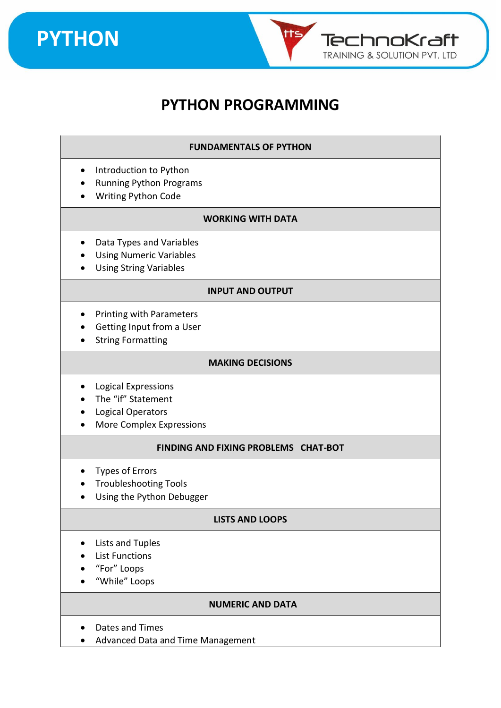



### **PYTHON PROGRAMMING**

#### **FUNDAMENTALS OF PYTHON**

- Introduction to Python
- Running Python Programs
- Writing Python Code

#### **WORKING WITH DATA**

- Data Types and Variables
- Using Numeric Variables
- Using String Variables

#### **INPUT AND OUTPUT**

- Printing with Parameters
- Getting Input from a User
- String Formatting

#### **MAKING DECISIONS**

- Logical Expressions
- The "if" Statement
- Logical Operators
- More Complex Expressions

#### **FINDING AND FIXING PROBLEMS CHAT-BOT**

- Types of Errors
- Troubleshooting Tools
- Using the Python Debugger

#### **LISTS AND LOOPS**

- Lists and Tuples
- List Functions
- "For" Loops
- "While" Loops

#### **NUMERIC AND DATA**

- Dates and Times
- Advanced Data and Time Management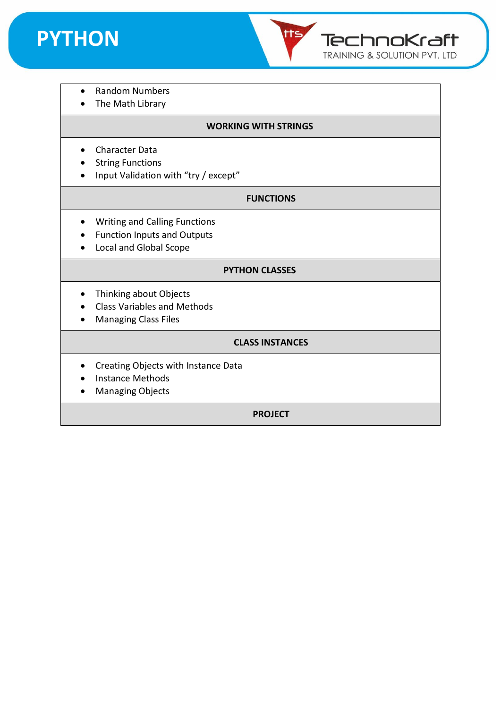



- Random Numbers
- The Math Library

#### **WORKING WITH STRINGS**

- Character Data
- String Functions
- Input Validation with "try / except"

#### **FUNCTIONS**

- Writing and Calling Functions
- Function Inputs and Outputs
- Local and Global Scope

#### **PYTHON CLASSES**

- Thinking about Objects
- Class Variables and Methods
- Managing Class Files

#### **CLASS INSTANCES**

- Creating Objects with Instance Data
- Instance Methods
- Managing Objects

**PROJECT**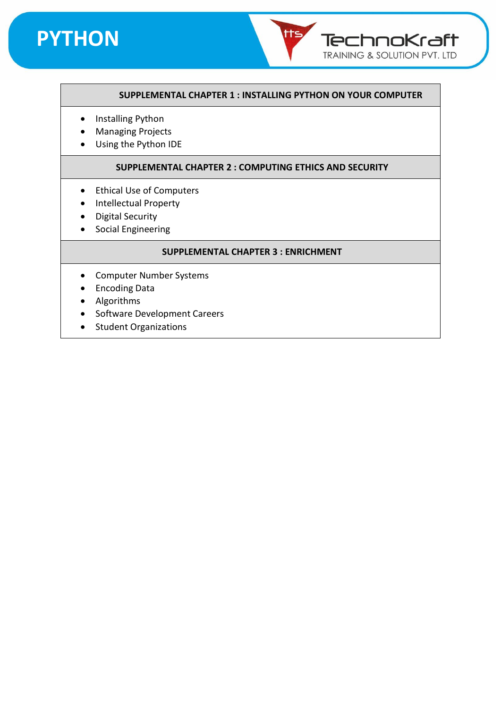

#### **SUPPLEMENTAL CHAPTER 1 : INSTALLING PYTHON ON YOUR COMPUTER**

tts

TechnoKraft TRAINING & SOLUTION PVT. LTD

- Installing Python
- Managing Projects
- Using the Python IDE

#### **SUPPLEMENTAL CHAPTER 2 : COMPUTING ETHICS AND SECURITY**

- Ethical Use of Computers
- Intellectual Property
- Digital Security
- Social Engineering

#### **SUPPLEMENTAL CHAPTER 3 : ENRICHMENT**

- Computer Number Systems
- Encoding Data
- Algorithms
- Software Development Careers
- Student Organizations